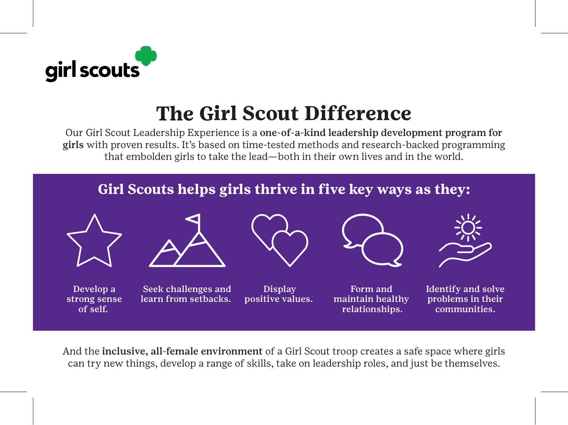

## **The Girl Scout Difference**

Our Girl Scout Leadership Experience is a one-of-a-kind leadership development program for girls with proven results. It's based on time-tested methods and research-backed programming that embolden girls to take the lead—both in their own lives and in the world.



And the inclusive, all-female environment of a Girl Scout troop creates a safe space where girls can try new things, develop a range of skills, take on leadership roles, and just be themselves.